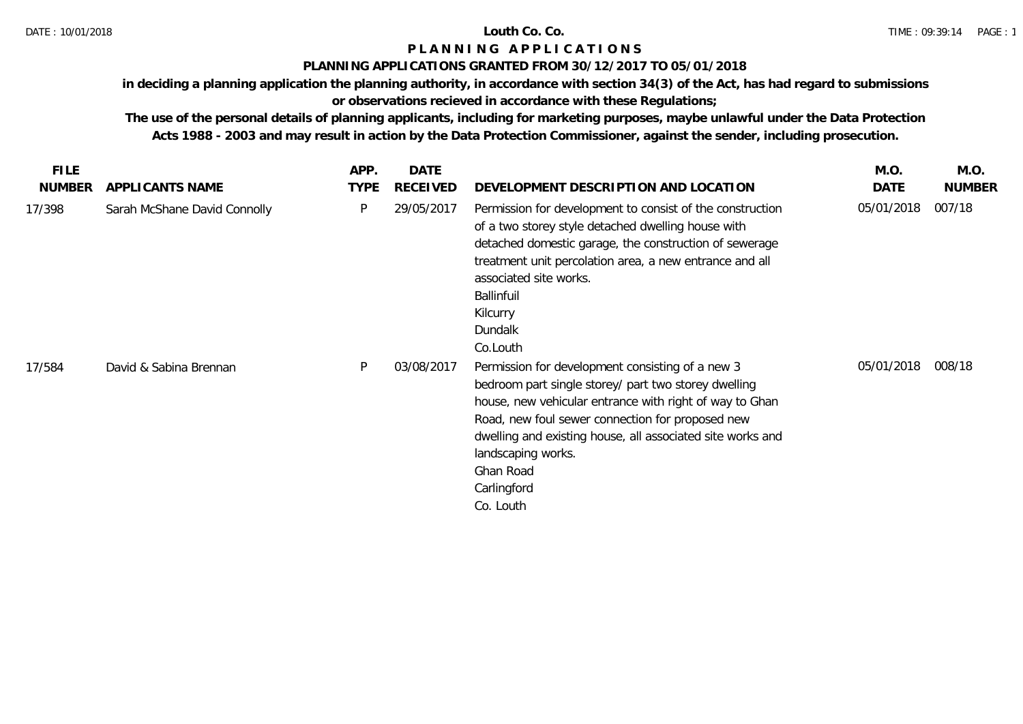# **P L A N N I N G A P P L I C A T I O N S**

### **PLANNING APPLICATIONS GRANTED FROM 30/12/2017 TO 05/01/2018**

**in deciding a planning application the planning authority, in accordance with section 34(3) of the Act, has had regard to submissions** 

# **or observations recieved in accordance with these Regulations;**

**The use of the personal details of planning applicants, including for marketing purposes, maybe unlawful under the Data Protection Acts 1988 - 2003 and may result in action by the Data Protection Commissioner, against the sender, including prosecution.**

| <b>FILE</b>   |                              | APP.        | <b>DATE</b>     |                                                                                                                                                                                                                                                                                                                                                      | M.O.       | M.O.          |
|---------------|------------------------------|-------------|-----------------|------------------------------------------------------------------------------------------------------------------------------------------------------------------------------------------------------------------------------------------------------------------------------------------------------------------------------------------------------|------------|---------------|
| <b>NUMBER</b> | APPLICANTS NAME              | <b>TYPE</b> | <b>RECEIVED</b> | DEVELOPMENT DESCRIPTION AND LOCATION                                                                                                                                                                                                                                                                                                                 | DATE       | <b>NUMBER</b> |
| 17/398        | Sarah McShane David Connolly | P           | 29/05/2017      | Permission for development to consist of the construction<br>of a two storey style detached dwelling house with<br>detached domestic garage, the construction of sewerage<br>treatment unit percolation area, a new entrance and all<br>associated site works.<br>Ballinfuil<br>Kilcurry<br>Dundalk<br>Co.Louth                                      | 05/01/2018 | 007/18        |
| 17/584        | David & Sabina Brennan       | P           | 03/08/2017      | Permission for development consisting of a new 3<br>bedroom part single storey/ part two storey dwelling<br>house, new vehicular entrance with right of way to Ghan<br>Road, new foul sewer connection for proposed new<br>dwelling and existing house, all associated site works and<br>landscaping works.<br>Ghan Road<br>Carlingford<br>Co. Louth | 05/01/2018 | 008/18        |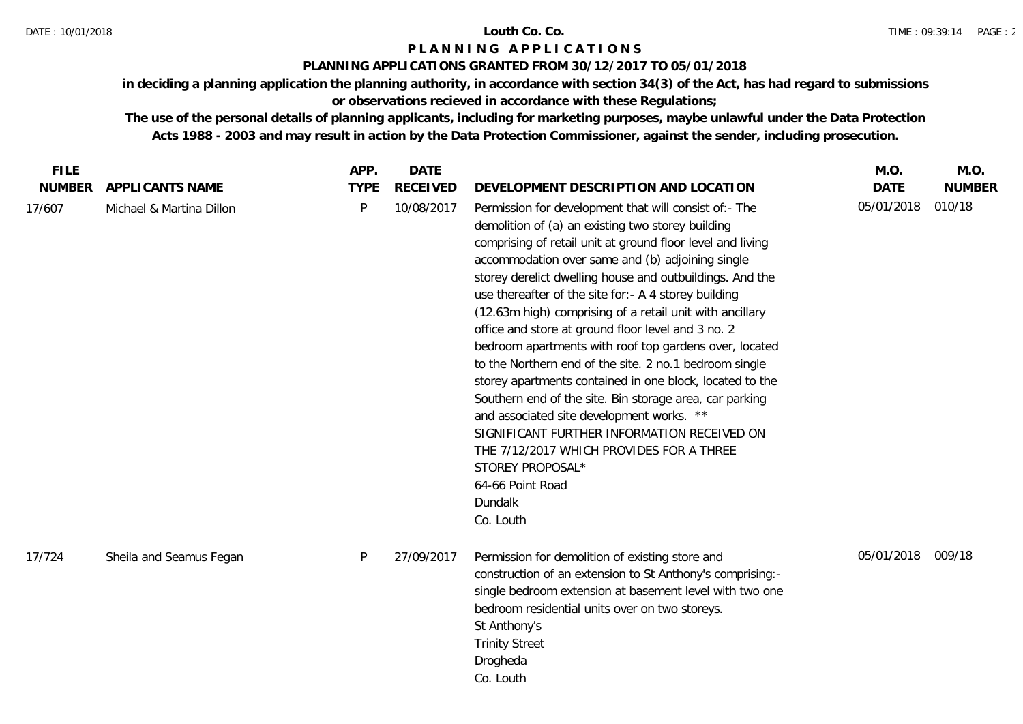### DATE : 10/01/2018 **Louth Co. Co.**

# **P L A N N I N G A P P L I C A T I O N S**

## **PLANNING APPLICATIONS GRANTED FROM 30/12/2017 TO 05/01/2018**

**in deciding a planning application the planning authority, in accordance with section 34(3) of the Act, has had regard to submissions or observations recieved in accordance with these Regulations;**

**The use of the personal details of planning applicants, including for marketing purposes, maybe unlawful under the Data Protection Acts 1988 - 2003 and may result in action by the Data Protection Commissioner, against the sender, including prosecution.**

| <b>FILE</b> |                          | APP.         | <b>DATE</b>     |                                                                                                                                                                                                                                                                                                                                                                                                                                                                                                                                                                                                                                                                                                                                                                                                                                                                                                                       | M.O.        | M.O.          |
|-------------|--------------------------|--------------|-----------------|-----------------------------------------------------------------------------------------------------------------------------------------------------------------------------------------------------------------------------------------------------------------------------------------------------------------------------------------------------------------------------------------------------------------------------------------------------------------------------------------------------------------------------------------------------------------------------------------------------------------------------------------------------------------------------------------------------------------------------------------------------------------------------------------------------------------------------------------------------------------------------------------------------------------------|-------------|---------------|
| NUMBER      | APPLICANTS NAME          | <b>TYPE</b>  | <b>RECEIVED</b> | DEVELOPMENT DESCRIPTION AND LOCATION                                                                                                                                                                                                                                                                                                                                                                                                                                                                                                                                                                                                                                                                                                                                                                                                                                                                                  | <b>DATE</b> | <b>NUMBER</b> |
| 17/607      | Michael & Martina Dillon | $\mathsf{P}$ | 10/08/2017      | Permission for development that will consist of:- The<br>demolition of (a) an existing two storey building<br>comprising of retail unit at ground floor level and living<br>accommodation over same and (b) adjoining single<br>storey derelict dwelling house and outbuildings. And the<br>use thereafter of the site for:- A 4 storey building<br>(12.63m high) comprising of a retail unit with ancillary<br>office and store at ground floor level and 3 no. 2<br>bedroom apartments with roof top gardens over, located<br>to the Northern end of the site. 2 no.1 bedroom single<br>storey apartments contained in one block, located to the<br>Southern end of the site. Bin storage area, car parking<br>and associated site development works. **<br>SIGNIFICANT FURTHER INFORMATION RECEIVED ON<br>THE 7/12/2017 WHICH PROVIDES FOR A THREE<br>STOREY PROPOSAL*<br>64-66 Point Road<br>Dundalk<br>Co. Louth | 05/01/2018  | 010/18        |
| 17/724      | Sheila and Seamus Fegan  | $\mathsf{P}$ | 27/09/2017      | Permission for demolition of existing store and<br>construction of an extension to St Anthony's comprising:-<br>single bedroom extension at basement level with two one<br>bedroom residential units over on two storeys.<br>St Anthony's<br><b>Trinity Street</b><br>Drogheda<br>Co. Louth                                                                                                                                                                                                                                                                                                                                                                                                                                                                                                                                                                                                                           | 05/01/2018  | 009/18        |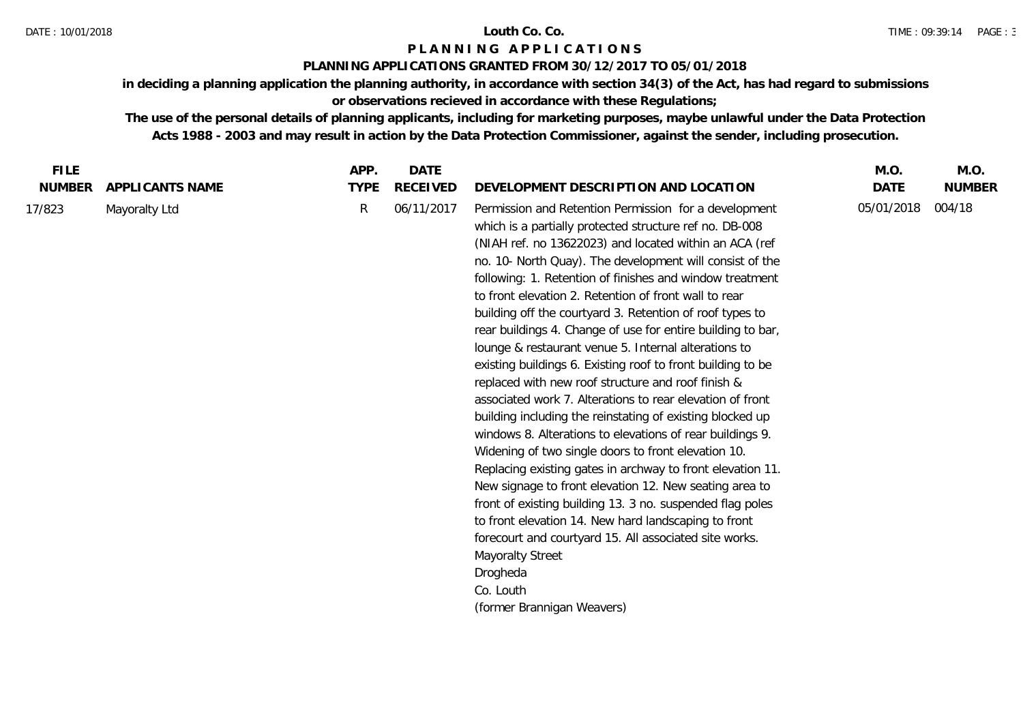## **P L A N N I N G A P P L I C A T I O N S**

## **PLANNING APPLICATIONS GRANTED FROM 30/12/2017 TO 05/01/2018**

**in deciding a planning application the planning authority, in accordance with section 34(3) of the Act, has had regard to submissions or observations recieved in accordance with these Regulations;**

**The use of the personal details of planning applicants, including for marketing purposes, maybe unlawful under the Data Protection Acts 1988 - 2003 and may result in action by the Data Protection Commissioner, against the sender, including prosecution.**

| <b>FILE</b>             |                                  | APP.             | <b>DATE</b>                   |                                                                                                                                                                                                                                                                                                                                                                                                                                                                                                                                                                                                                                                                                                                                                                                                                                                                                                                                                                                                                                                                                                                                                                                                                                                                                                                                                    | M.O.               | M.O.                    |
|-------------------------|----------------------------------|------------------|-------------------------------|----------------------------------------------------------------------------------------------------------------------------------------------------------------------------------------------------------------------------------------------------------------------------------------------------------------------------------------------------------------------------------------------------------------------------------------------------------------------------------------------------------------------------------------------------------------------------------------------------------------------------------------------------------------------------------------------------------------------------------------------------------------------------------------------------------------------------------------------------------------------------------------------------------------------------------------------------------------------------------------------------------------------------------------------------------------------------------------------------------------------------------------------------------------------------------------------------------------------------------------------------------------------------------------------------------------------------------------------------|--------------------|-------------------------|
| <b>NUMBER</b><br>17/823 | APPLICANTS NAME<br>Mayoralty Ltd | <b>TYPE</b><br>R | <b>RECEIVED</b><br>06/11/2017 | DEVELOPMENT DESCRIPTION AND LOCATION<br>Permission and Retention Permission for a development<br>which is a partially protected structure ref no. DB-008<br>(NIAH ref. no 13622023) and located within an ACA (ref<br>no. 10- North Quay). The development will consist of the<br>following: 1. Retention of finishes and window treatment<br>to front elevation 2. Retention of front wall to rear<br>building off the courtyard 3. Retention of roof types to<br>rear buildings 4. Change of use for entire building to bar,<br>lounge & restaurant venue 5. Internal alterations to<br>existing buildings 6. Existing roof to front building to be<br>replaced with new roof structure and roof finish &<br>associated work 7. Alterations to rear elevation of front<br>building including the reinstating of existing blocked up<br>windows 8. Alterations to elevations of rear buildings 9.<br>Widening of two single doors to front elevation 10.<br>Replacing existing gates in archway to front elevation 11.<br>New signage to front elevation 12. New seating area to<br>front of existing building 13. 3 no. suspended flag poles<br>to front elevation 14. New hard landscaping to front<br>forecourt and courtyard 15. All associated site works.<br><b>Mayoralty Street</b><br>Drogheda<br>Co. Louth<br>(former Brannigan Weavers) | DATE<br>05/01/2018 | <b>NUMBER</b><br>004/18 |